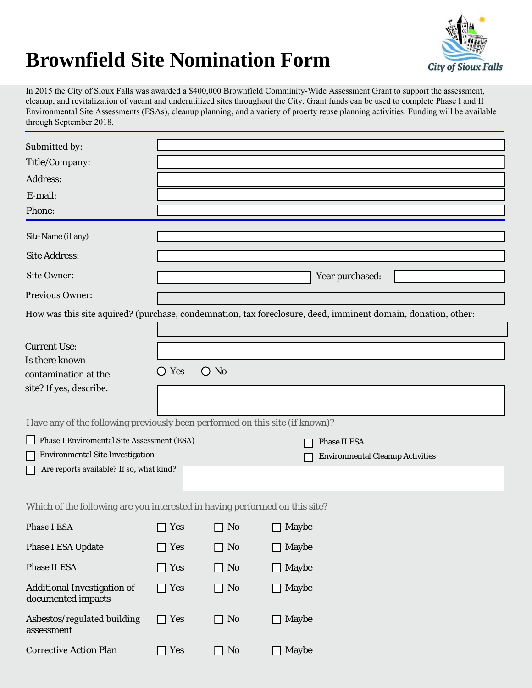## **Brownfield Site Nomination Form**



In 2015 the City of Sioux Falls was awarded a \$400,000 Brownfield Comminity-Wide Assessment Grant to support the assessment, cleanup, and revitalization of vacant and underutilized sites throughout the City. Grant funds can be used to complete Phase I and II Environmental Site Assessments (ESAs), cleanup planning, and a variety of proerty reuse planning activities. Funding will be available through September 2018.

| Submitted by:                                                                                                |                              |                                   |                         |                                         |  |
|--------------------------------------------------------------------------------------------------------------|------------------------------|-----------------------------------|-------------------------|-----------------------------------------|--|
| Title/Company:                                                                                               |                              |                                   |                         |                                         |  |
| Address:                                                                                                     |                              |                                   |                         |                                         |  |
| E-mail:                                                                                                      |                              |                                   |                         |                                         |  |
| Phone:                                                                                                       |                              |                                   |                         |                                         |  |
| Site Name (if any)                                                                                           |                              |                                   |                         |                                         |  |
| <b>Site Address:</b>                                                                                         |                              |                                   |                         |                                         |  |
| Site Owner:                                                                                                  |                              |                                   |                         | Year purchased:                         |  |
| Previous Owner:                                                                                              |                              |                                   |                         |                                         |  |
| How was this site aquired? (purchase, condemnation, tax foreclosure, deed, imminent domain, donation, other: |                              |                                   |                         |                                         |  |
|                                                                                                              |                              |                                   |                         |                                         |  |
| <b>Current Use:</b>                                                                                          |                              |                                   |                         |                                         |  |
| Is there known                                                                                               |                              |                                   |                         |                                         |  |
| contamination at the                                                                                         | ○ Yes                        | $\bigcirc$ No                     |                         |                                         |  |
| site? If yes, describe.                                                                                      |                              |                                   |                         |                                         |  |
|                                                                                                              |                              |                                   |                         |                                         |  |
| Have any of the following previously been performed on this site (if known)?                                 |                              |                                   |                         |                                         |  |
| Phase I Enviromental Site Assessment (ESA)<br>Phase II ESA                                                   |                              |                                   |                         |                                         |  |
| <b>Environmental Site Investigation</b>                                                                      |                              |                                   |                         | <b>Environmental Cleanup Activities</b> |  |
| Are reports available? If so, what kind?                                                                     |                              |                                   |                         |                                         |  |
|                                                                                                              |                              |                                   |                         |                                         |  |
| Which of the following are you interested in having performed on this site?                                  |                              |                                   |                         |                                         |  |
| Phase I ESA                                                                                                  |                              | $\Box$ Yes $\Box$ No $\Box$ Maybe |                         |                                         |  |
| <b>Phase I ESA Update</b>                                                                                    | <b>Yes</b><br>$\bigcap$      | $\Box$ No                         | Maybe<br>$\mathbf{L}$   |                                         |  |
| Phase II ESA                                                                                                 | <b>Yes</b><br>- 1            | $\Box$ No                         | Maybe                   |                                         |  |
| <b>Additional Investigation of</b><br>documented impacts                                                     | <b>Yes</b><br>$\blacksquare$ | $\Box$ No                         | Maybe<br>$\blacksquare$ |                                         |  |
| Asbestos/regulated building<br>assessment                                                                    | <b>Yes</b><br>$\blacksquare$ | $\Box$ No                         | Maybe<br>$\blacksquare$ |                                         |  |
| <b>Corrective Action Plan</b>                                                                                | <b>Yes</b>                   | $\Box$ No                         | Maybe                   |                                         |  |